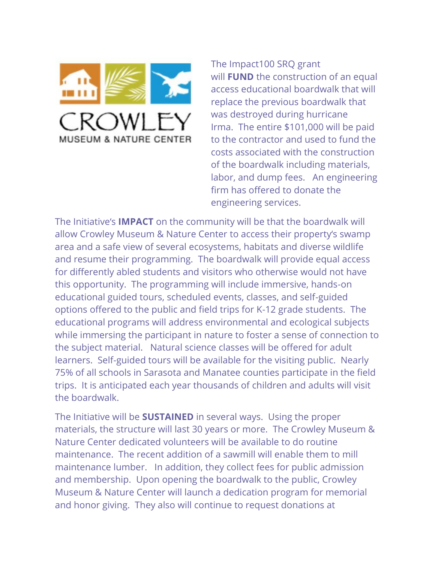

The Impact100 SRQ grant will **FUND** the construction of an equal access educational boardwalk that will replace the previous boardwalk that was destroyed during hurricane Irma. The entire \$101,000 will be paid to the contractor and used to fund the costs associated with the construction of the boardwalk including materials, labor, and dump fees. An engineering firm has offered to donate the engineering services.

The Initiative's **IMPACT** on the community will be that the boardwalk will allow Crowley Museum & Nature Center to access their property's swamp area and a safe view of several ecosystems, habitats and diverse wildlife and resume their programming. The boardwalk will provide equal access for differently abled students and visitors who otherwise would not have this opportunity. The programming will include immersive, hands-on educational guided tours, scheduled events, classes, and self-guided options offered to the public and field trips for K-12 grade students. The educational programs will address environmental and ecological subjects while immersing the participant in nature to foster a sense of connection to the subject material. Natural science classes will be offered for adult learners. Self-guided tours will be available for the visiting public. Nearly 75% of all schools in Sarasota and Manatee counties participate in the field trips. It is anticipated each year thousands of children and adults will visit the boardwalk.

The Initiative will be **SUSTAINED** in several ways. Using the proper materials, the structure will last 30 years or more. The Crowley Museum & Nature Center dedicated volunteers will be available to do routine maintenance. The recent addition of a sawmill will enable them to mill maintenance lumber. In addition, they collect fees for public admission and membership. Upon opening the boardwalk to the public, Crowley Museum & Nature Center will launch a dedication program for memorial and honor giving. They also will continue to request donations at